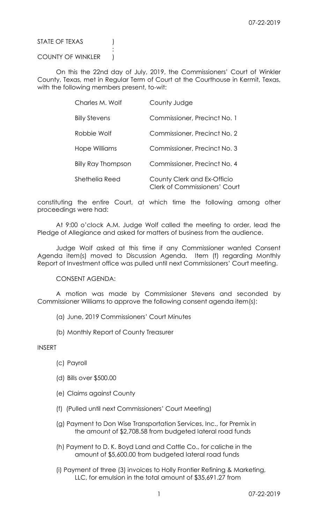STATE OF TEXAS (1)

## COUNTY OF WINKLER )

**Service State State State State** 

 On this the 22nd day of July, 2019, the Commissioners' Court of Winkler County, Texas, met in Regular Term of Court at the Courthouse in Kermit, Texas, with the following members present, to-wit:

| Charles M. Wolf           | County Judge                                                        |
|---------------------------|---------------------------------------------------------------------|
| <b>Billy Stevens</b>      | Commissioner, Precinct No. 1                                        |
| Robbie Wolf               | Commissioner, Precinct No. 2                                        |
| Hope Williams             | Commissioner, Precinct No. 3                                        |
| <b>Billy Ray Thompson</b> | Commissioner, Precinct No. 4                                        |
| Shethelia Reed            | County Clerk and Ex-Officio<br><b>Clerk of Commissioners' Court</b> |

constituting the entire Court, at which time the following among other proceedings were had:

 At 9:00 o'clock A.M. Judge Wolf called the meeting to order, lead the Pledge of Allegiance and asked for matters of business from the audience.

 Judge Wolf asked at this time if any Commissioner wanted Consent Agenda item(s) moved to Discussion Agenda. Item (f) regarding Monthly Report of Investment office was pulled until next Commissioners' Court meeting.

CONSENT AGENDA:

 A motion was made by Commissioner Stevens and seconded by Commissioner Williams to approve the following consent agenda item(s):

- (a) June, 2019 Commissioners' Court Minutes
- (b) Monthly Report of County Treasurer

INSERT

- (c) Payroll
- (d) Bills over \$500.00
- (e) Claims against County
- (f) (Pulled until next Commissioners' Court Meeting)
- (g) Payment to Don Wise Transportation Services, Inc., for Premix in the amount of \$2,708.58 from budgeted lateral road funds
- (h) Payment to D. K. Boyd Land and Cattle Co., for caliche in the amount of \$5,600.00 from budgeted lateral road funds
- (i) Payment of three (3) invoices to Holly Frontier Refining & Marketing, LLC, for emulsion in the total amount of \$35,691.27 from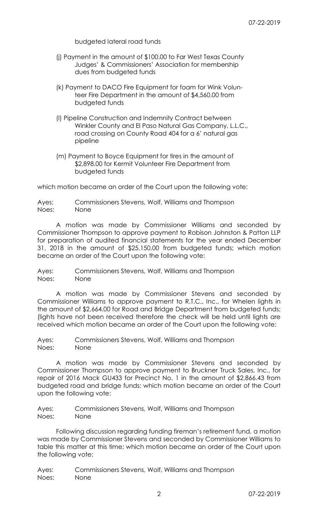budgeted lateral road funds

- (j) Payment in the amount of \$100.00 to Far West Texas County Judges' & Commissioners' Association for membership dues from budgeted funds
- (k) Payment to DACO Fire Equipment for foam for Wink Volun teer Fire Department in the amount of \$4,560.00 from budgeted funds
- (l) Pipeline Construction and Indemnity Contract between Winkler County and El Paso Natural Gas Company, L.L.C., road crossing on County Road 404 for a 6' natural gas pipeline
- (m) Payment to Boyce Equipment for tires in the amount of \$2,898.00 for Kermit Volunteer Fire Department from budgeted funds

which motion became an order of the Court upon the following vote:

Ayes: Commissioners Stevens, Wolf, Williams and Thompson Noes: None

 A motion was made by Commissioner Williams and seconded by Commissioner Thompson to approve payment to Robison Johnston & Patton LLP for preparation of audited financial statements for the year ended December 31, 2018 in the amount of \$25,150.00 from budgeted funds; which motion became an order of the Court upon the following vote:

Ayes: Commissioners Stevens, Wolf, Williams and Thompson Noes: None

 A motion was made by Commissioner Stevens and seconded by Commissioner Williams to approve payment to R.T.C., Inc., for Whelen lights in the amount of \$2,664.00 for Road and Bridge Department from budgeted funds; (lights have not been received therefore the check will be held until lights are received which motion became an order of the Court upon the following vote:

Ayes: Commissioners Stevens, Wolf, Williams and Thompson Noes: None

 A motion was made by Commissioner Stevens and seconded by Commissioner Thompson to approve payment to Bruckner Truck Sales, Inc., for repair of 2016 Mack GU433 for Precinct No. 1 in the amount of \$2,866.43 from budgeted road and bridge funds; which motion became an order of the Court upon the following vote:

Ayes: Commissioners Stevens, Wolf, Williams and Thompson Noes: None

 Following discussion regarding funding fireman's retirement fund, a motion was made by Commissioner Stevens and seconded by Commissioner Williams to table this matter at this time; which motion became an order of the Court upon the following vote:

Ayes: Commissioners Stevens, Wolf, Williams and Thompson Noes: None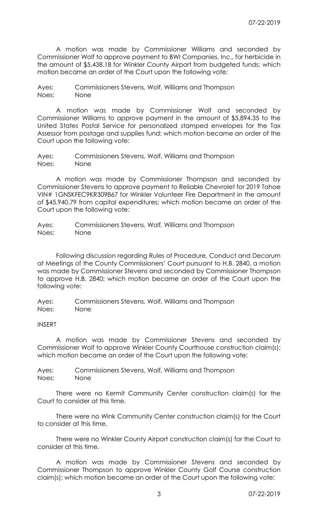A motion was made by Commissioner Williams and seconded by Commissioner Wolf to approve payment to BWI Companies, Inc., for herbicide in the amount of \$5,438.18 for Winkler County Airport from budgeted funds; which motion became an order of the Court upon the following vote:

Ayes: Commissioners Stevens, Wolf, Williams and Thompson Noes: None

 A motion was made by Commissioner Wolf and seconded by Commissioner Williams to approve payment in the amount of \$5,894.35 to the United States Postal Service for personalized stamped envelopes for the Tax Assessor from postage and supplies fund; which motion became an order of the Court upon the following vote:

Ayes: Commissioners Stevens, Wolf, Williams and Thompson Noes: None

 A motion was made by Commissioner Thompson and seconded by Commissioner Stevens to approve payment to Reliable Chevrolet for 2019 Tahoe VIN# 1GNSKFEC9KR309867 for Winkler Volunteer Fire Department in the amount of \$45,940.79 from capital expenditures; which motion became an order of the Court upon the following vote:

Ayes: Commissioners Stevens, Wolf, Williams and Thompson Noes: None

 Following discussion regarding Rules of Procedure, Conduct and Decorum at Meetings of the County Commissioners' Court pursuant to H.B. 2840, a motion was made by Commissioner Stevens and seconded by Commissioner Thompson to approve H.B. 2840; which motion became an order of the Court upon the following vote:

Ayes: Commissioners Stevens, Wolf, Williams and Thompson Noes: None

## INSERT

 A motion was made by Commissioner Stevens and seconded by Commissioner Wolf to approve Winkler County Courthouse construction claim(s); which motion became an order of the Court upon the following vote:

Ayes: Commissioners Stevens, Wolf, Williams and Thompson Noes: None

 There were no Kermit Community Center construction claim(s) for the Court to consider at this time.

 There were no Wink Community Center construction claim(s) for the Court to consider at this time.

 There were no Winkler County Airport construction claim(s) for the Court to consider at this time.

 A motion was made by Commissioner Stevens and seconded by Commissioner Thompson to approve Winkler County Golf Course construction claim(s); which motion became an order of the Court upon the following vote: